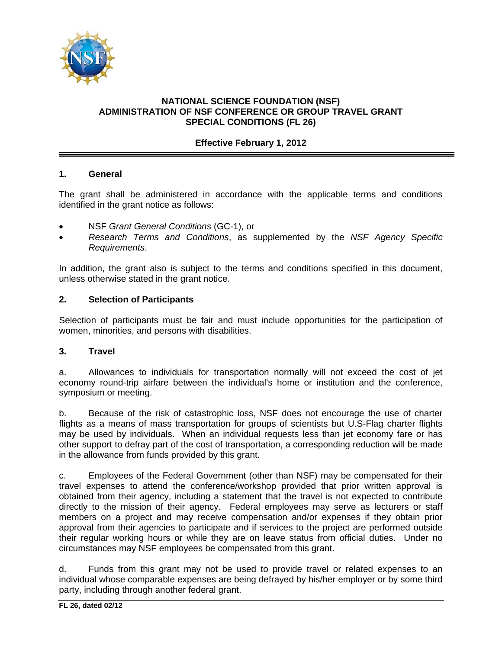

# **NATIONAL SCIENCE FOUNDATION (NSF) ADMINISTRATION OF NSF CONFERENCE OR GROUP TRAVEL GRANT SPECIAL CONDITIONS (FL 26)**

# **Effective February 1, 2012**

# **1. General**

The grant shall be administered in accordance with the applicable terms and conditions identified in the grant notice as follows:

- NSF *Grant General Conditions* (GC-1), or
- *Research Terms and Conditions*, as supplemented by the *NSF Agency Specific Requirements*.

In addition, the grant also is subject to the terms and conditions specified in this document, unless otherwise stated in the grant notice.

# **2. Selection of Participants**

Selection of participants must be fair and must include opportunities for the participation of women, minorities, and persons with disabilities.

# **3. Travel**

a. Allowances to individuals for transportation normally will not exceed the cost of jet economy round-trip airfare between the individual's home or institution and the conference, symposium or meeting.

b. Because of the risk of catastrophic loss, NSF does not encourage the use of charter flights as a means of mass transportation for groups of scientists but U.S-Flag charter flights may be used by individuals. When an individual requests less than jet economy fare or has other support to defray part of the cost of transportation, a corresponding reduction will be made in the allowance from funds provided by this grant.

c. Employees of the Federal Government (other than NSF) may be compensated for their travel expenses to attend the conference/workshop provided that prior written approval is obtained from their agency, including a statement that the travel is not expected to contribute directly to the mission of their agency. Federal employees may serve as lecturers or staff members on a project and may receive compensation and/or expenses if they obtain prior approval from their agencies to participate and if services to the project are performed outside their regular working hours or while they are on leave status from official duties. Under no circumstances may NSF employees be compensated from this grant.

d. Funds from this grant may not be used to provide travel or related expenses to an individual whose comparable expenses are being defrayed by his/her employer or by some third party, including through another federal grant.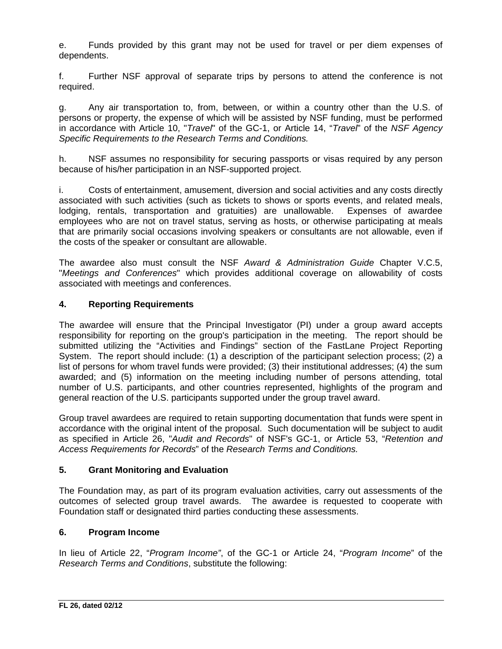e. Funds provided by this grant may not be used for travel or per diem expenses of dependents.

f. Further NSF approval of separate trips by persons to attend the conference is not required.

g. Any air transportation to, from, between, or within a country other than the U.S. of persons or property, the expense of which will be assisted by NSF funding, must be performed in accordance with Article 10, "*Travel*" of the GC-1, or Article 14, "*Travel*" of the *NSF Agency Specific Requirements to the Research Terms and Conditions.* 

h. NSF assumes no responsibility for securing passports or visas required by any person because of his/her participation in an NSF-supported project.

i. Costs of entertainment, amusement, diversion and social activities and any costs directly associated with such activities (such as tickets to shows or sports events, and related meals, lodging, rentals, transportation and gratuities) are unallowable. Expenses of awardee employees who are not on travel status, serving as hosts, or otherwise participating at meals that are primarily social occasions involving speakers or consultants are not allowable, even if the costs of the speaker or consultant are allowable.

The awardee also must consult the NSF *Award & Administration Guide* Chapter V.C.5, "*Meetings and Conferences*" which provides additional coverage on allowability of costs associated with meetings and conferences.

# **4. Reporting Requirements**

The awardee will ensure that the Principal Investigator (PI) under a group award accepts responsibility for reporting on the group's participation in the meeting. The report should be submitted utilizing the "Activities and Findings" section of the FastLane Project Reporting System. The report should include: (1) a description of the participant selection process; (2) a list of persons for whom travel funds were provided; (3) their institutional addresses; (4) the sum awarded; and (5) information on the meeting including number of persons attending, total number of U.S. participants, and other countries represented, highlights of the program and general reaction of the U.S. participants supported under the group travel award.

Group travel awardees are required to retain supporting documentation that funds were spent in accordance with the original intent of the proposal. Such documentation will be subject to audit as specified in Article 26, "*Audit and Records*" of NSF's GC-1, or Article 53, "*Retention and Access Requirements for Records*" of the *Research Terms and Conditions.* 

# **5. Grant Monitoring and Evaluation**

The Foundation may, as part of its program evaluation activities, carry out assessments of the outcomes of selected group travel awards. The awardee is requested to cooperate with Foundation staff or designated third parties conducting these assessments.

# **6. Program Income**

In lieu of Article 22, "*Program Income"*, of the GC-1 or Article 24, "*Program Income*" of the *Research Terms and Conditions*, substitute the following: